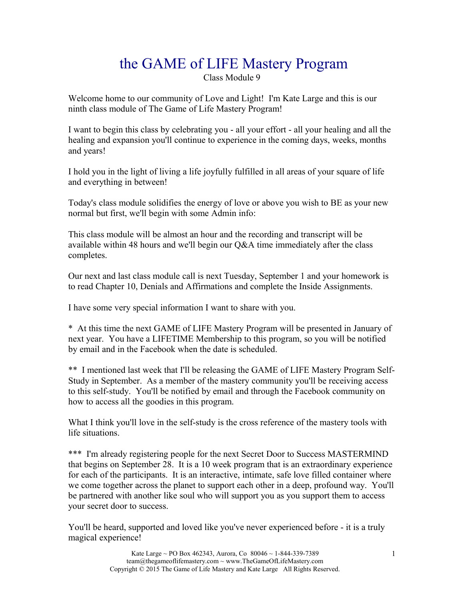# the GAME of LIFE Mastery Program

Class Module 9

Welcome home to our community of Love and Light! I'm Kate Large and this is our ninth class module of The Game of Life Mastery Program!

I want to begin this class by celebrating you - all your effort - all your healing and all the healing and expansion you'll continue to experience in the coming days, weeks, months and years!

I hold you in the light of living a life joyfully fulfilled in all areas of your square of life and everything in between!

Today's class module solidifies the energy of love or above you wish to BE as your new normal but first, we'll begin with some Admin info:

This class module will be almost an hour and the recording and transcript will be available within 48 hours and we'll begin our Q&A time immediately after the class completes.

Our next and last class module call is next Tuesday, September 1 and your homework is to read Chapter 10, Denials and Affirmations and complete the Inside Assignments.

I have some very special information I want to share with you.

\* At this time the next GAME of LIFE Mastery Program will be presented in January of next year. You have a LIFETIME Membership to this program, so you will be notified by email and in the Facebook when the date is scheduled.

\*\* I mentioned last week that I'll be releasing the GAME of LIFE Mastery Program Self-Study in September. As a member of the mastery community you'll be receiving access to this self-study. You'll be notified by email and through the Facebook community on how to access all the goodies in this program.

What I think you'll love in the self-study is the cross reference of the mastery tools with life situations.

\*\*\* I'm already registering people for the next Secret Door to Success MASTERMIND that begins on September 28. It is a 10 week program that is an extraordinary experience for each of the participants. It is an interactive, intimate, safe love filled container where we come together across the planet to support each other in a deep, profound way. You'll be partnered with another like soul who will support you as you support them to access your secret door to success.

You'll be heard, supported and loved like you've never experienced before - it is a truly magical experience!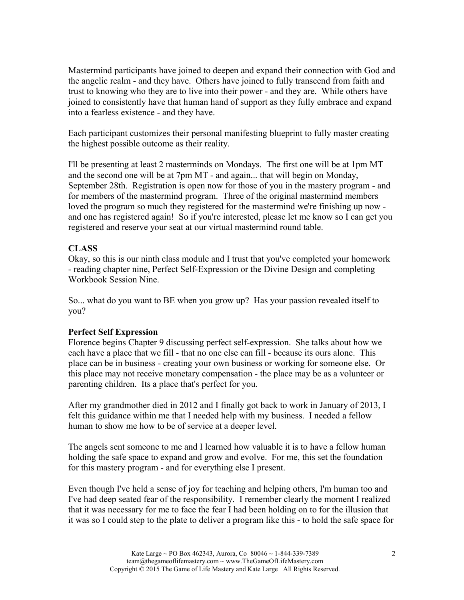Mastermind participants have joined to deepen and expand their connection with God and the angelic realm - and they have. Others have joined to fully transcend from faith and trust to knowing who they are to live into their power - and they are. While others have joined to consistently have that human hand of support as they fully embrace and expand into a fearless existence - and they have.

Each participant customizes their personal manifesting blueprint to fully master creating the highest possible outcome as their reality.

I'll be presenting at least 2 masterminds on Mondays. The first one will be at 1pm MT and the second one will be at 7pm MT - and again... that will begin on Monday, September 28th. Registration is open now for those of you in the mastery program - and for members of the mastermind program. Three of the original mastermind members loved the program so much they registered for the mastermind we're finishing up now and one has registered again! So if you're interested, please let me know so I can get you registered and reserve your seat at our virtual mastermind round table.

## **CLASS**

Okay, so this is our ninth class module and I trust that you've completed your homework - reading chapter nine, Perfect Self-Expression or the Divine Design and completing Workbook Session Nine.

So... what do you want to BE when you grow up? Has your passion revealed itself to you?

## **Perfect Self Expression**

Florence begins Chapter 9 discussing perfect self-expression. She talks about how we each have a place that we fill - that no one else can fill - because its ours alone. This place can be in business - creating your own business or working for someone else. Or this place may not receive monetary compensation - the place may be as a volunteer or parenting children. Its a place that's perfect for you.

After my grandmother died in 2012 and I finally got back to work in January of 2013, I felt this guidance within me that I needed help with my business. I needed a fellow human to show me how to be of service at a deeper level.

The angels sent someone to me and I learned how valuable it is to have a fellow human holding the safe space to expand and grow and evolve. For me, this set the foundation for this mastery program - and for everything else I present.

Even though I've held a sense of joy for teaching and helping others, I'm human too and I've had deep seated fear of the responsibility. I remember clearly the moment I realized that it was necessary for me to face the fear I had been holding on to for the illusion that it was so I could step to the plate to deliver a program like this - to hold the safe space for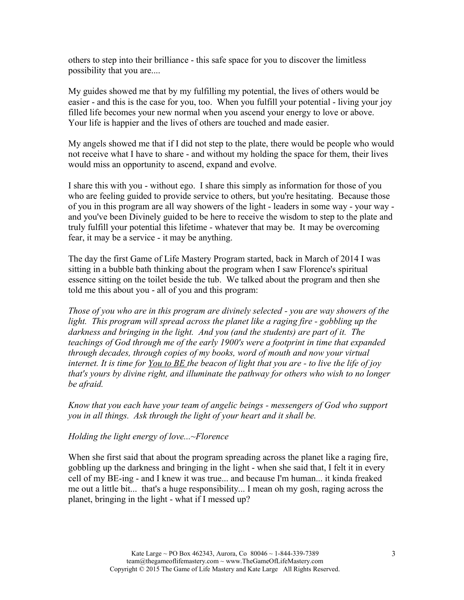others to step into their brilliance - this safe space for you to discover the limitless possibility that you are....

My guides showed me that by my fulfilling my potential, the lives of others would be easier - and this is the case for you, too. When you fulfill your potential - living your joy filled life becomes your new normal when you ascend your energy to love or above. Your life is happier and the lives of others are touched and made easier.

My angels showed me that if I did not step to the plate, there would be people who would not receive what I have to share - and without my holding the space for them, their lives would miss an opportunity to ascend, expand and evolve.

I share this with you - without ego. I share this simply as information for those of you who are feeling guided to provide service to others, but you're hesitating. Because those of you in this program are all way showers of the light - leaders in some way - your way and you've been Divinely guided to be here to receive the wisdom to step to the plate and truly fulfill your potential this lifetime - whatever that may be. It may be overcoming fear, it may be a service - it may be anything.

The day the first Game of Life Mastery Program started, back in March of 2014 I was sitting in a bubble bath thinking about the program when I saw Florence's spiritual essence sitting on the toilet beside the tub. We talked about the program and then she told me this about you - all of you and this program:

*Those of you who are in this program are divinely selected - you are way showers of the*  light. This program will spread across the planet like a raging fire - gobbling up the *darkness and bringing in the light. And you (and the students) are part of it. The teachings of God through me of the early 1900's were a footprint in time that expanded through decades, through copies of my books, word of mouth and now your virtual internet. It is time for You to BE the beacon of light that you are - to live the life of joy that's yours by divine right, and illuminate the pathway for others who wish to no longer be afraid.* 

*Know that you each have your team of angelic beings - messengers of God who support you in all things. Ask through the light of your heart and it shall be.*

*Holding the light energy of love...~Florence*

When she first said that about the program spreading across the planet like a raging fire, gobbling up the darkness and bringing in the light - when she said that, I felt it in every cell of my BE-ing - and I knew it was true... and because I'm human... it kinda freaked me out a little bit... that's a huge responsibility... I mean oh my gosh, raging across the planet, bringing in the light - what if I messed up?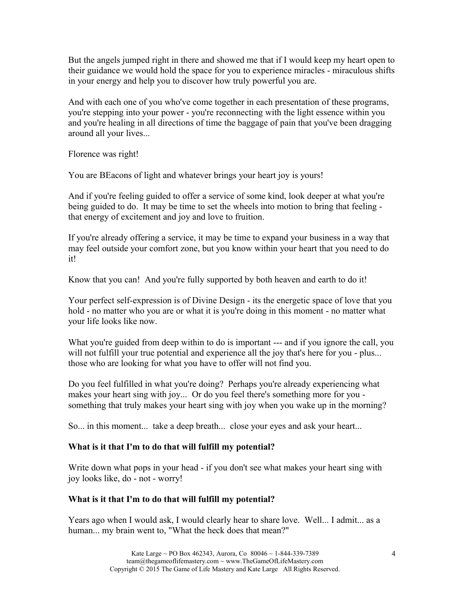But the angels jumped right in there and showed me that if I would keep my heart open to their guidance we would hold the space for you to experience miracles - miraculous shifts in your energy and help you to discover how truly powerful you are.

And with each one of you who've come together in each presentation of these programs, you're stepping into your power - you're reconnecting with the light essence within you and you're healing in all directions of time the baggage of pain that you've been dragging around all your lives...

Florence was right!

You are BEacons of light and whatever brings your heart joy is yours!

And if you're feeling guided to offer a service of some kind, look deeper at what you're being guided to do. It may be time to set the wheels into motion to bring that feeling that energy of excitement and joy and love to fruition.

If you're already offering a service, it may be time to expand your business in a way that may feel outside your comfort zone, but you know within your heart that you need to do it!

Know that you can! And you're fully supported by both heaven and earth to do it!

Your perfect self-expression is of Divine Design - its the energetic space of love that you hold - no matter who you are or what it is you're doing in this moment - no matter what your life looks like now.

What you're guided from deep within to do is important --- and if you ignore the call, you will not fulfill your true potential and experience all the joy that's here for you - plus... those who are looking for what you have to offer will not find you.

Do you feel fulfilled in what you're doing? Perhaps you're already experiencing what makes your heart sing with joy... Or do you feel there's something more for you something that truly makes your heart sing with joy when you wake up in the morning?

So... in this moment... take a deep breath... close your eyes and ask your heart...

## **What is it that I'm to do that will fulfill my potential?**

Write down what pops in your head - if you don't see what makes your heart sing with joy looks like, do - not - worry!

## **What is it that I'm to do that will fulfill my potential?**

Years ago when I would ask, I would clearly hear to share love. Well... I admit... as a human... my brain went to, "What the heck does that mean?"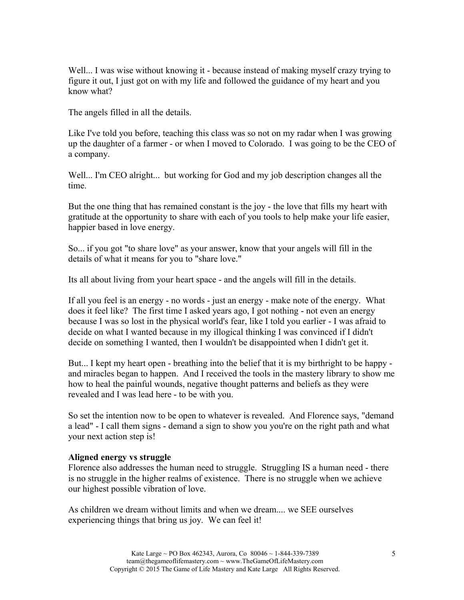Well... I was wise without knowing it - because instead of making myself crazy trying to figure it out, I just got on with my life and followed the guidance of my heart and you know what?

The angels filled in all the details.

Like I've told you before, teaching this class was so not on my radar when I was growing up the daughter of a farmer - or when I moved to Colorado. I was going to be the CEO of a company.

Well... I'm CEO alright... but working for God and my job description changes all the time.

But the one thing that has remained constant is the joy - the love that fills my heart with gratitude at the opportunity to share with each of you tools to help make your life easier, happier based in love energy.

So... if you got "to share love" as your answer, know that your angels will fill in the details of what it means for you to "share love."

Its all about living from your heart space - and the angels will fill in the details.

If all you feel is an energy - no words - just an energy - make note of the energy. What does it feel like? The first time I asked years ago, I got nothing - not even an energy because I was so lost in the physical world's fear, like I told you earlier - I was afraid to decide on what I wanted because in my illogical thinking I was convinced if I didn't decide on something I wanted, then I wouldn't be disappointed when I didn't get it.

But... I kept my heart open - breathing into the belief that it is my birthright to be happy and miracles began to happen. And I received the tools in the mastery library to show me how to heal the painful wounds, negative thought patterns and beliefs as they were revealed and I was lead here - to be with you.

So set the intention now to be open to whatever is revealed. And Florence says, "demand a lead" - I call them signs - demand a sign to show you you're on the right path and what your next action step is!

#### **Aligned energy vs struggle**

Florence also addresses the human need to struggle. Struggling IS a human need - there is no struggle in the higher realms of existence. There is no struggle when we achieve our highest possible vibration of love.

As children we dream without limits and when we dream.... we SEE ourselves experiencing things that bring us joy. We can feel it!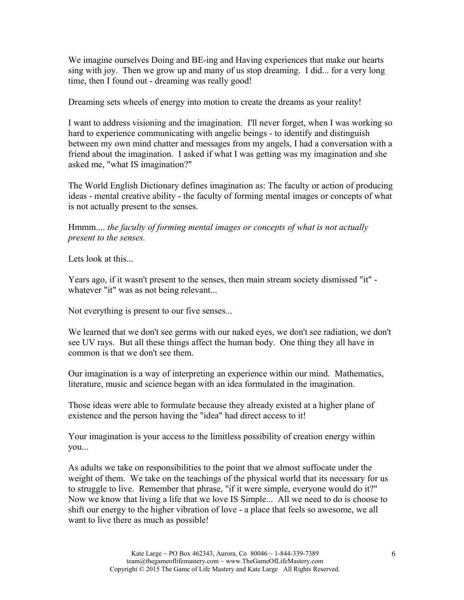We imagine ourselves Doing and BE-ing and Having experiences that make our hearts sing with joy. Then we grow up and many of us stop dreaming. I did... for a very long time, then I found out - dreaming was really good!

Dreaming sets wheels of energy into motion to create the dreams as your reality!

I want to address visioning and the imagination. I'll never forget, when I was working so hard to experience communicating with angelic beings - to identify and distinguish between my own mind chatter and messages from my angels, I had a conversation with a friend about the imagination. I asked if what I was getting was my imagination and she asked me, "what IS imagination?"

The World English Dictionary defines imagination as: The faculty or action of producing ideas - mental creative ability - the faculty of forming mental images or concepts of what is not actually present to the senses.

Hmmm.... *the faculty of forming mental images or concepts of what is not actually present to the senses.*

Lets look at this...

Years ago, if it wasn't present to the senses, then main stream society dismissed "it" whatever "it" was as not being relevant...

Not everything is present to our five senses...

We learned that we don't see germs with our naked eyes, we don't see radiation, we don't see UV rays. But all these things affect the human body. One thing they all have in common is that we don't see them.

Our imagination is a way of interpreting an experience within our mind. Mathematics, literature, music and science began with an idea formulated in the imagination.

Those ideas were able to formulate because they already existed at a higher plane of existence and the person having the "idea" had direct access to it!

Your imagination is your access to the limitless possibility of creation energy within you...

As adults we take on responsibilities to the point that we almost suffocate under the weight of them. We take on the teachings of the physical world that its necessary for us to struggle to live. Remember that phrase, "if it were simple, everyone would do it?" Now we know that living a life that we love IS Simple... All we need to do is choose to shift our energy to the higher vibration of love - a place that feels so awesome, we all want to live there as much as possible!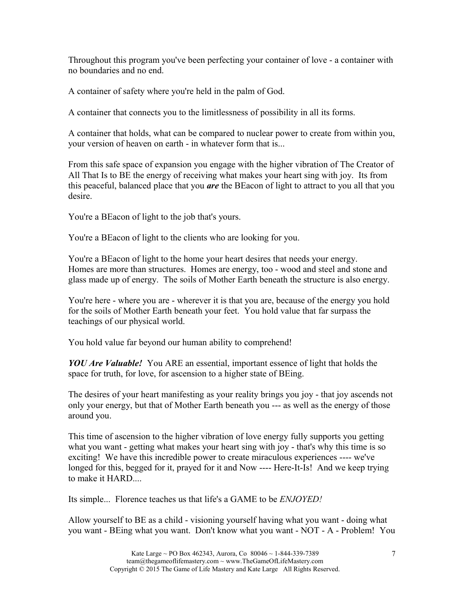Throughout this program you've been perfecting your container of love - a container with no boundaries and no end.

A container of safety where you're held in the palm of God.

A container that connects you to the limitlessness of possibility in all its forms.

A container that holds, what can be compared to nuclear power to create from within you, your version of heaven on earth - in whatever form that is...

From this safe space of expansion you engage with the higher vibration of The Creator of All That Is to BE the energy of receiving what makes your heart sing with joy. Its from this peaceful, balanced place that you *are* the BEacon of light to attract to you all that you desire.

You're a BEacon of light to the job that's yours.

You're a BEacon of light to the clients who are looking for you.

You're a BEacon of light to the home your heart desires that needs your energy. Homes are more than structures. Homes are energy, too - wood and steel and stone and glass made up of energy. The soils of Mother Earth beneath the structure is also energy.

You're here - where you are - wherever it is that you are, because of the energy you hold for the soils of Mother Earth beneath your feet. You hold value that far surpass the teachings of our physical world.

You hold value far beyond our human ability to comprehend!

*YOU Are Valuable!* You ARE an essential, important essence of light that holds the space for truth, for love, for ascension to a higher state of BEing.

The desires of your heart manifesting as your reality brings you joy - that joy ascends not only your energy, but that of Mother Earth beneath you --- as well as the energy of those around you.

This time of ascension to the higher vibration of love energy fully supports you getting what you want - getting what makes your heart sing with joy - that's why this time is so exciting! We have this incredible power to create miraculous experiences ---- we've longed for this, begged for it, prayed for it and Now ---- Here-It-Is! And we keep trying to make it HARD....

Its simple... Florence teaches us that life's a GAME to be *ENJOYED!*

Allow yourself to BE as a child - visioning yourself having what you want - doing what you want - BEing what you want. Don't know what you want - NOT - A - Problem! You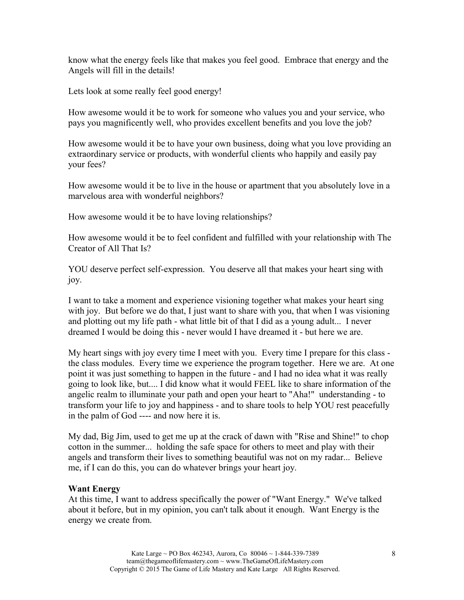know what the energy feels like that makes you feel good. Embrace that energy and the Angels will fill in the details!

Lets look at some really feel good energy!

How awesome would it be to work for someone who values you and your service, who pays you magnificently well, who provides excellent benefits and you love the job?

How awesome would it be to have your own business, doing what you love providing an extraordinary service or products, with wonderful clients who happily and easily pay your fees?

How awesome would it be to live in the house or apartment that you absolutely love in a marvelous area with wonderful neighbors?

How awesome would it be to have loving relationships?

How awesome would it be to feel confident and fulfilled with your relationship with The Creator of All That Is?

YOU deserve perfect self-expression. You deserve all that makes your heart sing with joy.

I want to take a moment and experience visioning together what makes your heart sing with joy. But before we do that, I just want to share with you, that when I was visioning and plotting out my life path - what little bit of that I did as a young adult... I never dreamed I would be doing this - never would I have dreamed it - but here we are.

My heart sings with joy every time I meet with you. Every time I prepare for this class the class modules. Every time we experience the program together. Here we are. At one point it was just something to happen in the future - and I had no idea what it was really going to look like, but.... I did know what it would FEEL like to share information of the angelic realm to illuminate your path and open your heart to "Aha!" understanding - to transform your life to joy and happiness - and to share tools to help YOU rest peacefully in the palm of God ---- and now here it is.

My dad, Big Jim, used to get me up at the crack of dawn with "Rise and Shine!" to chop cotton in the summer... holding the safe space for others to meet and play with their angels and transform their lives to something beautiful was not on my radar... Believe me, if I can do this, you can do whatever brings your heart joy.

#### **Want Energy**

At this time, I want to address specifically the power of "Want Energy." We've talked about it before, but in my opinion, you can't talk about it enough. Want Energy is the energy we create from.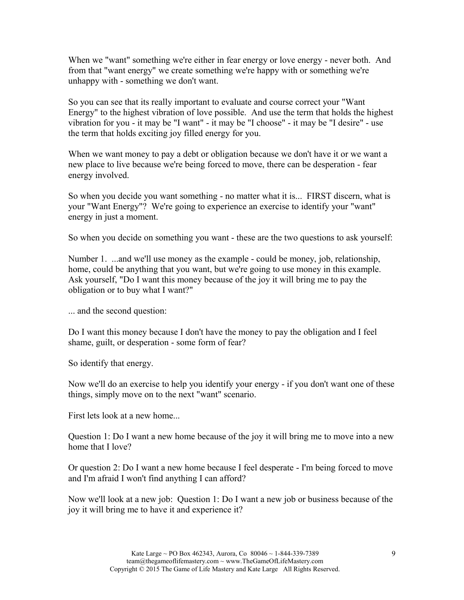When we "want" something we're either in fear energy or love energy - never both. And from that "want energy" we create something we're happy with or something we're unhappy with - something we don't want.

So you can see that its really important to evaluate and course correct your "Want Energy" to the highest vibration of love possible. And use the term that holds the highest vibration for you - it may be "I want" - it may be "I choose" - it may be "I desire" - use the term that holds exciting joy filled energy for you.

When we want money to pay a debt or obligation because we don't have it or we want a new place to live because we're being forced to move, there can be desperation - fear energy involved.

So when you decide you want something - no matter what it is... FIRST discern, what is your "Want Energy"? We're going to experience an exercise to identify your "want" energy in just a moment.

So when you decide on something you want - these are the two questions to ask yourself:

Number 1. ...and we'll use money as the example - could be money, job, relationship, home, could be anything that you want, but we're going to use money in this example. Ask yourself, "Do I want this money because of the joy it will bring me to pay the obligation or to buy what I want?"

... and the second question:

Do I want this money because I don't have the money to pay the obligation and I feel shame, guilt, or desperation - some form of fear?

So identify that energy.

Now we'll do an exercise to help you identify your energy - if you don't want one of these things, simply move on to the next "want" scenario.

First lets look at a new home...

Question 1: Do I want a new home because of the joy it will bring me to move into a new home that I love?

Or question 2: Do I want a new home because I feel desperate - I'm being forced to move and I'm afraid I won't find anything I can afford?

Now we'll look at a new job: Question 1: Do I want a new job or business because of the joy it will bring me to have it and experience it?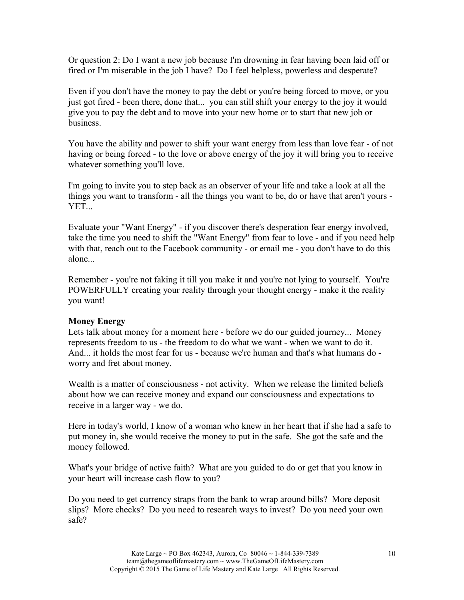Or question 2: Do I want a new job because I'm drowning in fear having been laid off or fired or I'm miserable in the job I have? Do I feel helpless, powerless and desperate?

Even if you don't have the money to pay the debt or you're being forced to move, or you just got fired - been there, done that... you can still shift your energy to the joy it would give you to pay the debt and to move into your new home or to start that new job or business.

You have the ability and power to shift your want energy from less than love fear - of not having or being forced - to the love or above energy of the joy it will bring you to receive whatever something you'll love.

I'm going to invite you to step back as an observer of your life and take a look at all the things you want to transform - all the things you want to be, do or have that aren't yours - YET...

Evaluate your "Want Energy" - if you discover there's desperation fear energy involved, take the time you need to shift the "Want Energy" from fear to love - and if you need help with that, reach out to the Facebook community - or email me - you don't have to do this alone...

Remember - you're not faking it till you make it and you're not lying to yourself. You're POWERFULLY creating your reality through your thought energy - make it the reality you want!

## **Money Energy**

Lets talk about money for a moment here - before we do our guided journey... Money represents freedom to us - the freedom to do what we want - when we want to do it. And... it holds the most fear for us - because we're human and that's what humans do worry and fret about money.

Wealth is a matter of consciousness - not activity. When we release the limited beliefs about how we can receive money and expand our consciousness and expectations to receive in a larger way - we do.

Here in today's world, I know of a woman who knew in her heart that if she had a safe to put money in, she would receive the money to put in the safe. She got the safe and the money followed.

What's your bridge of active faith? What are you guided to do or get that you know in your heart will increase cash flow to you?

Do you need to get currency straps from the bank to wrap around bills? More deposit slips? More checks? Do you need to research ways to invest? Do you need your own safe?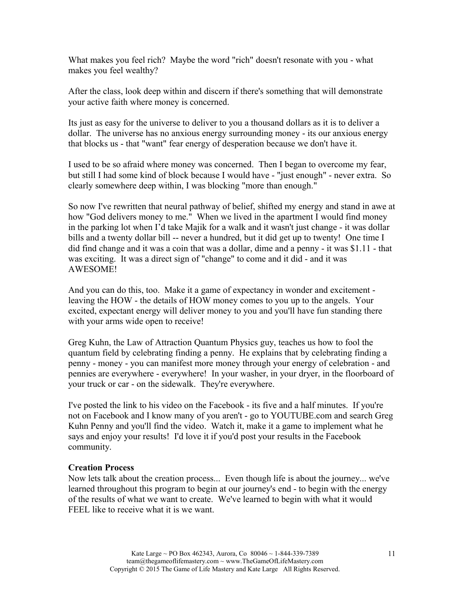What makes you feel rich? Maybe the word "rich" doesn't resonate with you - what makes you feel wealthy?

After the class, look deep within and discern if there's something that will demonstrate your active faith where money is concerned.

Its just as easy for the universe to deliver to you a thousand dollars as it is to deliver a dollar. The universe has no anxious energy surrounding money - its our anxious energy that blocks us - that "want" fear energy of desperation because we don't have it.

I used to be so afraid where money was concerned. Then I began to overcome my fear, but still I had some kind of block because I would have - "just enough" - never extra. So clearly somewhere deep within, I was blocking "more than enough."

So now I've rewritten that neural pathway of belief, shifted my energy and stand in awe at how "God delivers money to me." When we lived in the apartment I would find money in the parking lot when I'd take Majik for a walk and it wasn't just change - it was dollar bills and a twenty dollar bill -- never a hundred, but it did get up to twenty! One time I did find change and it was a coin that was a dollar, dime and a penny - it was \$1.11 - that was exciting. It was a direct sign of "change" to come and it did - and it was AWESOME!

And you can do this, too. Make it a game of expectancy in wonder and excitement leaving the HOW - the details of HOW money comes to you up to the angels. Your excited, expectant energy will deliver money to you and you'll have fun standing there with your arms wide open to receive!

Greg Kuhn, the Law of Attraction Quantum Physics guy, teaches us how to fool the quantum field by celebrating finding a penny. He explains that by celebrating finding a penny - money - you can manifest more money through your energy of celebration - and pennies are everywhere - everywhere! In your washer, in your dryer, in the floorboard of your truck or car - on the sidewalk. They're everywhere.

I've posted the link to his video on the Facebook - its five and a half minutes. If you're not on Facebook and I know many of you aren't - go to YOUTUBE.com and search Greg Kuhn Penny and you'll find the video. Watch it, make it a game to implement what he says and enjoy your results! I'd love it if you'd post your results in the Facebook community.

#### **Creation Process**

Now lets talk about the creation process... Even though life is about the journey... we've learned throughout this program to begin at our journey's end - to begin with the energy of the results of what we want to create. We've learned to begin with what it would FEEL like to receive what it is we want.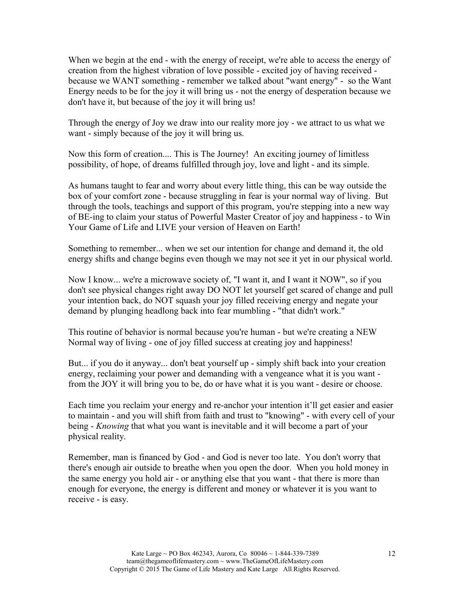When we begin at the end - with the energy of receipt, we're able to access the energy of creation from the highest vibration of love possible - excited joy of having received because we WANT something - remember we talked about "want energy" - so the Want Energy needs to be for the joy it will bring us - not the energy of desperation because we don't have it, but because of the joy it will bring us!

Through the energy of Joy we draw into our reality more joy - we attract to us what we want - simply because of the joy it will bring us.

Now this form of creation.... This is The Journey! An exciting journey of limitless possibility, of hope, of dreams fulfilled through joy, love and light - and its simple.

As humans taught to fear and worry about every little thing, this can be way outside the box of your comfort zone - because struggling in fear is your normal way of living. But through the tools, teachings and support of this program, you're stepping into a new way of BE-ing to claim your status of Powerful Master Creator of joy and happiness - to Win Your Game of Life and LIVE your version of Heaven on Earth!

Something to remember... when we set our intention for change and demand it, the old energy shifts and change begins even though we may not see it yet in our physical world.

Now I know... we're a microwave society of, "I want it, and I want it NOW", so if you don't see physical changes right away DO NOT let yourself get scared of change and pull your intention back, do NOT squash your joy filled receiving energy and negate your demand by plunging headlong back into fear mumbling - "that didn't work."

This routine of behavior is normal because you're human - but we're creating a NEW Normal way of living - one of joy filled success at creating joy and happiness!

But... if you do it anyway... don't beat yourself up - simply shift back into your creation energy, reclaiming your power and demanding with a vengeance what it is you want from the JOY it will bring you to be, do or have what it is you want - desire or choose.

Each time you reclaim your energy and re-anchor your intention it'll get easier and easier to maintain - and you will shift from faith and trust to "knowing" - with every cell of your being - *Knowing* that what you want is inevitable and it will become a part of your physical reality.

Remember, man is financed by God - and God is never too late. You don't worry that there's enough air outside to breathe when you open the door. When you hold money in the same energy you hold air - or anything else that you want - that there is more than enough for everyone, the energy is different and money or whatever it is you want to receive - is easy.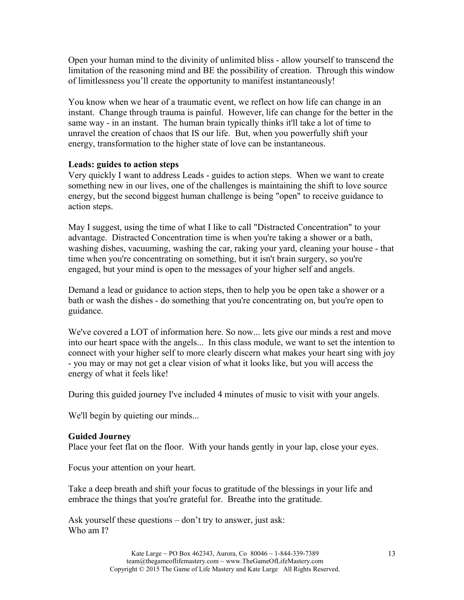Open your human mind to the divinity of unlimited bliss - allow yourself to transcend the limitation of the reasoning mind and BE the possibility of creation. Through this window of limitlessness you'll create the opportunity to manifest instantaneously!

You know when we hear of a traumatic event, we reflect on how life can change in an instant. Change through trauma is painful. However, life can change for the better in the same way - in an instant. The human brain typically thinks it'll take a lot of time to unravel the creation of chaos that IS our life. But, when you powerfully shift your energy, transformation to the higher state of love can be instantaneous.

### **Leads: guides to action steps**

Very quickly I want to address Leads - guides to action steps. When we want to create something new in our lives, one of the challenges is maintaining the shift to love source energy, but the second biggest human challenge is being "open" to receive guidance to action steps.

May I suggest, using the time of what I like to call "Distracted Concentration" to your advantage. Distracted Concentration time is when you're taking a shower or a bath, washing dishes, vacuuming, washing the car, raking your yard, cleaning your house - that time when you're concentrating on something, but it isn't brain surgery, so you're engaged, but your mind is open to the messages of your higher self and angels.

Demand a lead or guidance to action steps, then to help you be open take a shower or a bath or wash the dishes - do something that you're concentrating on, but you're open to guidance.

We've covered a LOT of information here. So now... lets give our minds a rest and move into our heart space with the angels... In this class module, we want to set the intention to connect with your higher self to more clearly discern what makes your heart sing with joy - you may or may not get a clear vision of what it looks like, but you will access the energy of what it feels like!

During this guided journey I've included 4 minutes of music to visit with your angels.

We'll begin by quieting our minds...

#### **Guided Journey**

Place your feet flat on the floor. With your hands gently in your lap, close your eyes.

Focus your attention on your heart.

Take a deep breath and shift your focus to gratitude of the blessings in your life and embrace the things that you're grateful for. Breathe into the gratitude.

Ask yourself these questions – don't try to answer, just ask: Who am I?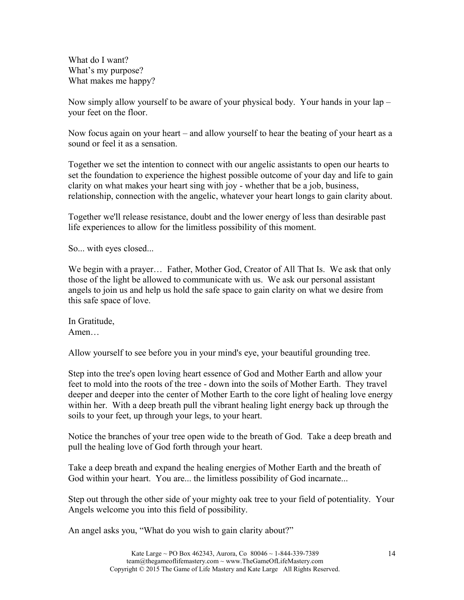What do I want? What's my purpose? What makes me happy?

Now simply allow yourself to be aware of your physical body. Your hands in your lap – your feet on the floor.

Now focus again on your heart – and allow yourself to hear the beating of your heart as a sound or feel it as a sensation.

Together we set the intention to connect with our angelic assistants to open our hearts to set the foundation to experience the highest possible outcome of your day and life to gain clarity on what makes your heart sing with joy - whether that be a job, business, relationship, connection with the angelic, whatever your heart longs to gain clarity about.

Together we'll release resistance, doubt and the lower energy of less than desirable past life experiences to allow for the limitless possibility of this moment.

So... with eyes closed...

We begin with a prayer... Father, Mother God, Creator of All That Is. We ask that only those of the light be allowed to communicate with us. We ask our personal assistant angels to join us and help us hold the safe space to gain clarity on what we desire from this safe space of love.

In Gratitude, Amen…

Allow yourself to see before you in your mind's eye, your beautiful grounding tree.

Step into the tree's open loving heart essence of God and Mother Earth and allow your feet to mold into the roots of the tree - down into the soils of Mother Earth. They travel deeper and deeper into the center of Mother Earth to the core light of healing love energy within her. With a deep breath pull the vibrant healing light energy back up through the soils to your feet, up through your legs, to your heart.

Notice the branches of your tree open wide to the breath of God. Take a deep breath and pull the healing love of God forth through your heart.

Take a deep breath and expand the healing energies of Mother Earth and the breath of God within your heart. You are... the limitless possibility of God incarnate...

Step out through the other side of your mighty oak tree to your field of potentiality. Your Angels welcome you into this field of possibility.

An angel asks you, "What do you wish to gain clarity about?"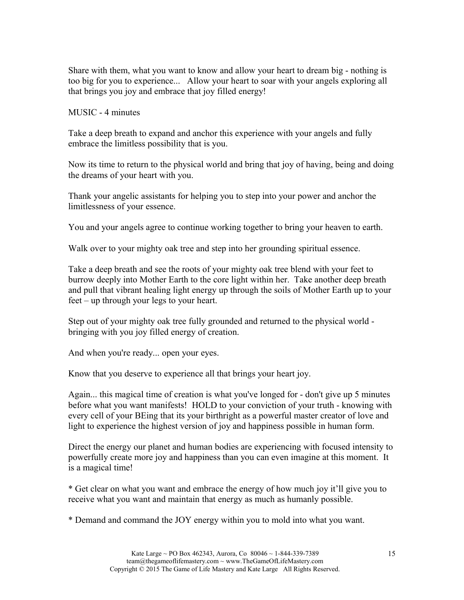Share with them, what you want to know and allow your heart to dream big - nothing is too big for you to experience... Allow your heart to soar with your angels exploring all that brings you joy and embrace that joy filled energy!

MUSIC - 4 minutes

Take a deep breath to expand and anchor this experience with your angels and fully embrace the limitless possibility that is you.

Now its time to return to the physical world and bring that joy of having, being and doing the dreams of your heart with you.

Thank your angelic assistants for helping you to step into your power and anchor the limitlessness of your essence.

You and your angels agree to continue working together to bring your heaven to earth.

Walk over to your mighty oak tree and step into her grounding spiritual essence.

Take a deep breath and see the roots of your mighty oak tree blend with your feet to burrow deeply into Mother Earth to the core light within her. Take another deep breath and pull that vibrant healing light energy up through the soils of Mother Earth up to your feet – up through your legs to your heart.

Step out of your mighty oak tree fully grounded and returned to the physical world bringing with you joy filled energy of creation.

And when you're ready... open your eyes.

Know that you deserve to experience all that brings your heart joy.

Again... this magical time of creation is what you've longed for - don't give up 5 minutes before what you want manifests! HOLD to your conviction of your truth - knowing with every cell of your BEing that its your birthright as a powerful master creator of love and light to experience the highest version of joy and happiness possible in human form.

Direct the energy our planet and human bodies are experiencing with focused intensity to powerfully create more joy and happiness than you can even imagine at this moment. It is a magical time!

\* Get clear on what you want and embrace the energy of how much joy it'll give you to receive what you want and maintain that energy as much as humanly possible.

\* Demand and command the JOY energy within you to mold into what you want.